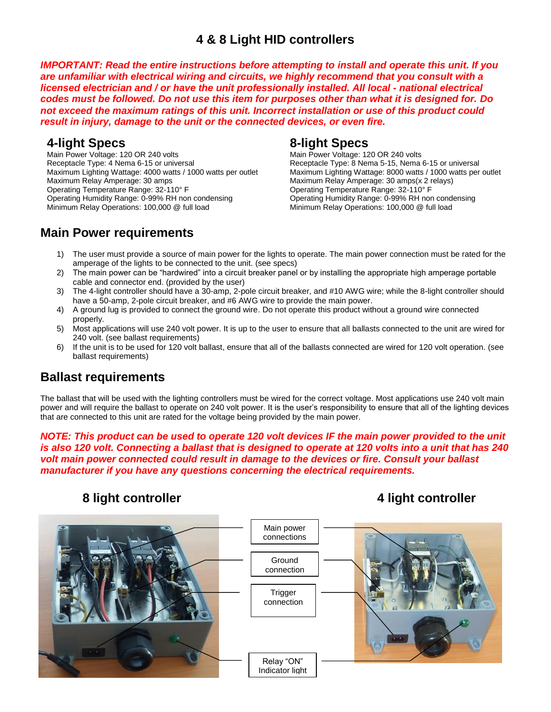# **4 & 8 Light HID controllers**

*IMPORTANT: Read the entire instructions before attempting to install and operate this unit. If you are unfamiliar with electrical wiring and circuits, we highly recommend that you consult with a licensed electrician and / or have the unit professionally installed. All local - national electrical codes must be followed. Do not use this item for purposes other than what it is designed for. Do not exceed the maximum ratings of this unit. Incorrect installation or use of this product could result in injury, damage to the unit or the connected devices, or even fire.*

# **4-light Specs**

Main Power Voltage: 120 OR 240 volts Receptacle Type: 4 Nema 6-15 or universal Maximum Lighting Wattage: 4000 watts / 1000 watts per outlet Maximum Relay Amperage: 30 amps Operating Temperature Range: 32-110° F Operating Humidity Range: 0-99% RH non condensing Minimum Relay Operations: 100,000 @ full load

# **8-light Specs**

Main Power Voltage: 120 OR 240 volts Receptacle Type: 8 Nema 5-15, Nema 6-15 or universal Maximum Lighting Wattage: 8000 watts / 1000 watts per outlet Maximum Relay Amperage: 30 amps(x 2 relays) Operating Temperature Range: 32-110° F Operating Humidity Range: 0-99% RH non condensing Minimum Relay Operations: 100,000 @ full load

# **Main Power requirements**

- 1) The user must provide a source of main power for the lights to operate. The main power connection must be rated for the amperage of the lights to be connected to the unit. (see specs)
- 2) The main power can be "hardwired" into a circuit breaker panel or by installing the appropriate high amperage portable cable and connector end. (provided by the user)
- 3) The 4-light controller should have a 30-amp, 2-pole circuit breaker, and #10 AWG wire; while the 8-light controller should have a 50-amp, 2-pole circuit breaker, and #6 AWG wire to provide the main power.
- 4) A ground lug is provided to connect the ground wire. Do not operate this product without a ground wire connected properly.
- 5) Most applications will use 240 volt power. It is up to the user to ensure that all ballasts connected to the unit are wired for 240 volt. (see ballast requirements)
- 6) If the unit is to be used for 120 volt ballast, ensure that all of the ballasts connected are wired for 120 volt operation. (see ballast requirements)

# **Ballast requirements**

The ballast that will be used with the lighting controllers must be wired for the correct voltage. Most applications use 240 volt main power and will require the ballast to operate on 240 volt power. It is the user's responsibility to ensure that all of the lighting devices that are connected to this unit are rated for the voltage being provided by the main power.

*NOTE: This product can be used to operate 120 volt devices IF the main power provided to the unit is also 120 volt. Connecting a ballast that is designed to operate at 120 volts into a unit that has 240 volt main power connected could result in damage to the devices or fire. Consult your ballast manufacturer if you have any questions concerning the electrical requirements.*

# **8 light controller 4 light controller**

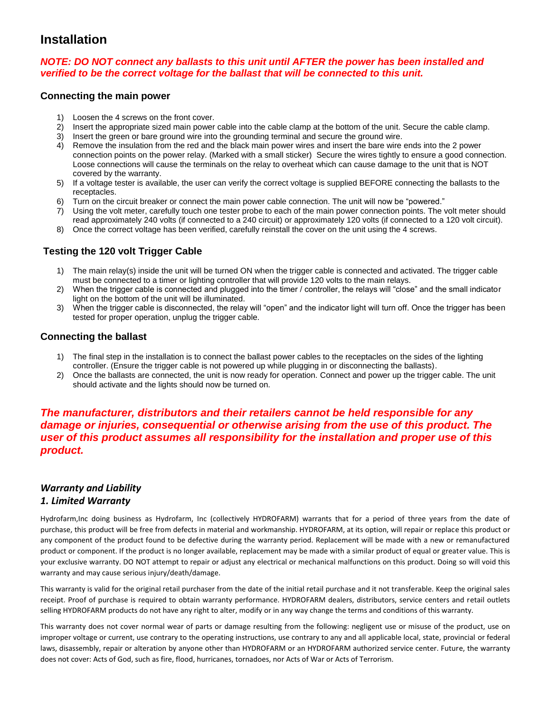# **Installation**

## *NOTE: DO NOT connect any ballasts to this unit until AFTER the power has been installed and verified to be the correct voltage for the ballast that will be connected to this unit.*

#### **Connecting the main power**

- 1) Loosen the 4 screws on the front cover.
- 2) Insert the appropriate sized main power cable into the cable clamp at the bottom of the unit. Secure the cable clamp.
- 3) Insert the green or bare ground wire into the grounding terminal and secure the ground wire.
- 4) Remove the insulation from the red and the black main power wires and insert the bare wire ends into the 2 power connection points on the power relay. (Marked with a small sticker) Secure the wires tightly to ensure a good connection. Loose connections will cause the terminals on the relay to overheat which can cause damage to the unit that is NOT covered by the warranty.
- 5) If a voltage tester is available, the user can verify the correct voltage is supplied BEFORE connecting the ballasts to the receptacles.
- 6) Turn on the circuit breaker or connect the main power cable connection. The unit will now be "powered."
- 7) Using the volt meter, carefully touch one tester probe to each of the main power connection points. The volt meter should read approximately 240 volts (if connected to a 240 circuit) or approximately 120 volts (if connected to a 120 volt circuit).
- 8) Once the correct voltage has been verified, carefully reinstall the cover on the unit using the 4 screws.

## **Testing the 120 volt Trigger Cable**

- 1) The main relay(s) inside the unit will be turned ON when the trigger cable is connected and activated. The trigger cable must be connected to a timer or lighting controller that will provide 120 volts to the main relays.
- 2) When the trigger cable is connected and plugged into the timer / controller, the relays will "close" and the small indicator light on the bottom of the unit will be illuminated.
- 3) When the trigger cable is disconnected, the relay will "open" and the indicator light will turn off. Once the trigger has been tested for proper operation, unplug the trigger cable.

## **Connecting the ballast**

- 1) The final step in the installation is to connect the ballast power cables to the receptacles on the sides of the lighting controller. (Ensure the trigger cable is not powered up while plugging in or disconnecting the ballasts).
- 2) Once the ballasts are connected, the unit is now ready for operation. Connect and power up the trigger cable. The unit should activate and the lights should now be turned on.

## *The manufacturer, distributors and their retailers cannot be held responsible for any damage or injuries, consequential or otherwise arising from the use of this product. The user of this product assumes all responsibility for the installation and proper use of this product.*

### *Warranty and Liability 1. Limited Warranty*

Hydrofarm,Inc doing business as Hydrofarm, Inc (collectively HYDROFARM) warrants that for a period of three years from the date of purchase, this product will be free from defects in material and workmanship. HYDROFARM, at its option, will repair or replace this product or any component of the product found to be defective during the warranty period. Replacement will be made with a new or remanufactured product or component. If the product is no longer available, replacement may be made with a similar product of equal or greater value. This is your exclusive warranty. DO NOT attempt to repair or adjust any electrical or mechanical malfunctions on this product. Doing so will void this warranty and may cause serious injury/death/damage.

This warranty is valid for the original retail purchaser from the date of the initial retail purchase and it not transferable. Keep the original sales receipt. Proof of purchase is required to obtain warranty performance. HYDROFARM dealers, distributors, service centers and retail outlets selling HYDROFARM products do not have any right to alter, modify or in any way change the terms and conditions of this warranty.

This warranty does not cover normal wear of parts or damage resulting from the following: negligent use or misuse of the product, use on improper voltage or current, use contrary to the operating instructions, use contrary to any and all applicable local, state, provincial or federal laws, disassembly, repair or alteration by anyone other than HYDROFARM or an HYDROFARM authorized service center. Future, the warranty does not cover: Acts of God, such as fire, flood, hurricanes, tornadoes, nor Acts of War or Acts of Terrorism.